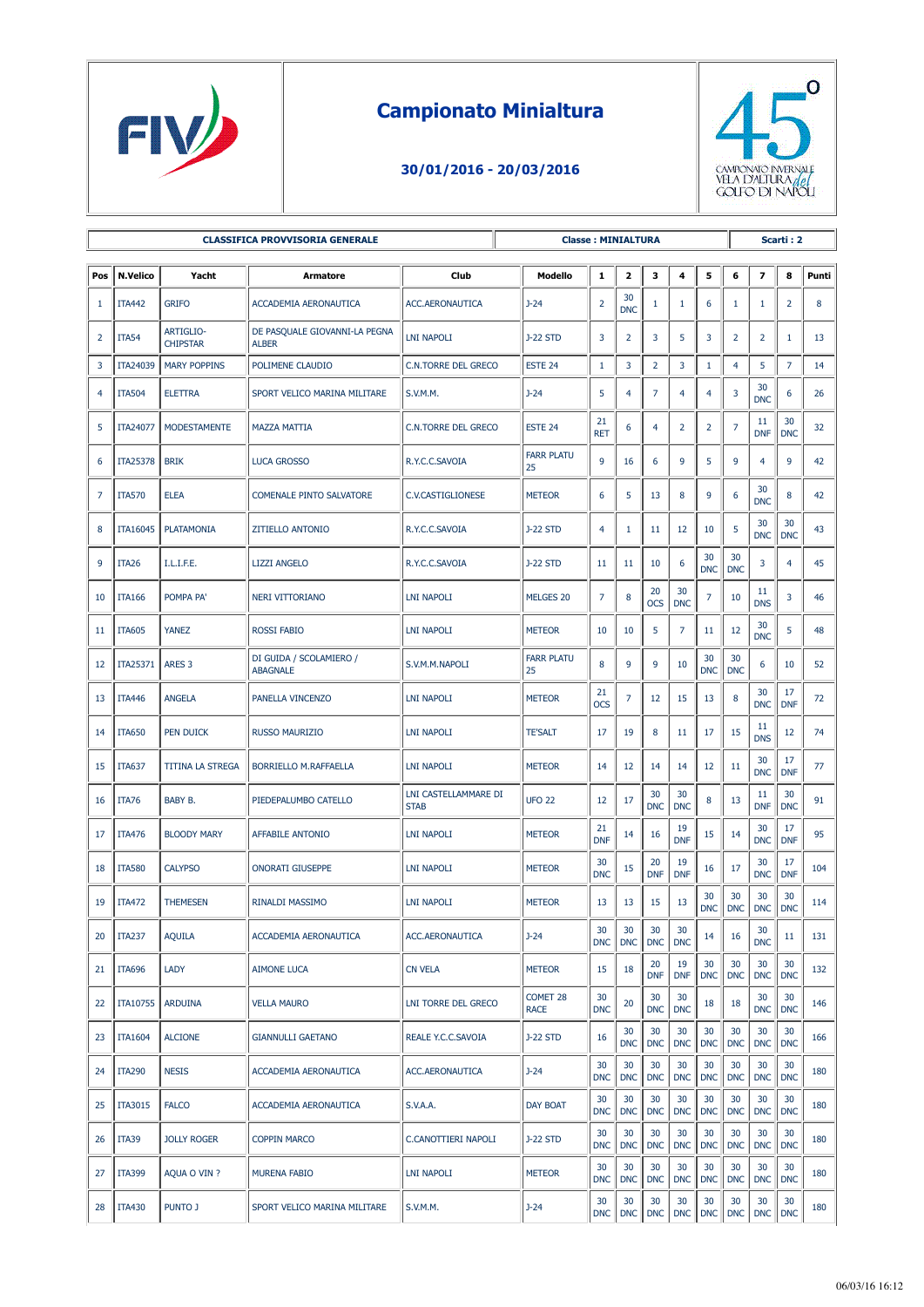

## **Campionato Minialtura**

## **30/01/2016 - 20/03/2016**



| <b>CLASSIFICA PROVVISORIA GENERALE</b> |                   |                                     |                                               |                                     | <b>Classe: MINIALTURA</b> |                  |                         |                  |                  |                   |                  | Scarti: 2               |                  |       |  |  |
|----------------------------------------|-------------------|-------------------------------------|-----------------------------------------------|-------------------------------------|---------------------------|------------------|-------------------------|------------------|------------------|-------------------|------------------|-------------------------|------------------|-------|--|--|
| Pos                                    | <b>N.Velico</b>   | Yacht                               | Armatore                                      | Club                                | Modello                   | $\mathbf{1}$     | $\overline{\mathbf{2}}$ | 3                | 4                | 5                 | 6                | $\overline{\mathbf{z}}$ | 8                | Punti |  |  |
| 1                                      | <b>ITA442</b>     | <b>GRIFO</b>                        | ACCADEMIA AERONAUTICA                         | ACC.AERONAUTICA                     | $J-24$                    | $\overline{2}$   | 30<br><b>DNC</b>        | 1                | 1                | 6                 | 1                | 1                       | $\overline{2}$   | 8     |  |  |
| $\overline{2}$                         | <b>ITA54</b>      | <b>ARTIGLIO-</b><br><b>CHIPSTAR</b> | DE PASQUALE GIOVANNI-LA PEGNA<br><b>ALBER</b> | <b>LNI NAPOLI</b>                   | <b>J-22 STD</b>           | 3                | $\overline{2}$          | 3                | 5                | 3                 | $\overline{2}$   | 2                       | $\mathbf{1}$     | 13    |  |  |
| 3                                      | ITA24039          | <b>MARY POPPINS</b>                 | POLIMENE CLAUDIO                              | C.N.TORRE DEL GRECO                 | ESTE <sub>24</sub>        | $\mathbf{1}$     | 3                       | $\overline{2}$   | 3                | $\mathbf{1}$      | $\overline{4}$   | 5                       | $\overline{7}$   | 14    |  |  |
| 4                                      | <b>ITA504</b>     | <b>ELETTRA</b>                      | SPORT VELICO MARINA MILITARE                  | S.V.M.M.                            | $J - 24$                  | 5                | 4                       | $\overline{7}$   | $\overline{4}$   | 4                 | 3                | 30<br><b>DNC</b>        | 6                | 26    |  |  |
| 5                                      | ITA24077          | <b>MODESTAMENTE</b>                 | <b>MAZZA MATTIA</b>                           | <b>C.N.TORRE DEL GRECO</b>          | ESTE <sub>24</sub>        | 21<br><b>RET</b> | 6                       | $\overline{4}$   | $\overline{2}$   | 2                 | 7                | 11<br><b>DNF</b>        | 30<br><b>DNC</b> | 32    |  |  |
| 6                                      | ITA25378          | <b>BRIK</b>                         | <b>LUCA GROSSO</b>                            | R.Y.C.C.SAVOIA                      | <b>FARR PLATU</b><br>25   | 9                | 16                      | 6                | 9                | 5                 | 9                | $\overline{4}$          | 9                | 42    |  |  |
| 7                                      | <b>ITA570</b>     | <b>ELEA</b>                         | <b>COMENALE PINTO SALVATORE</b>               | C.V.CASTIGLIONESE                   | <b>METEOR</b>             | 6                | 5                       | 13               | 8                | 9                 | 6                | 30<br><b>DNC</b>        | 8                | 42    |  |  |
| 8                                      | ITA16045          | <b>PLATAMONIA</b>                   | <b>ZITIELLO ANTONIO</b>                       | R.Y.C.C.SAVOIA                      | <b>J-22 STD</b>           | 4                | $\mathbf{1}$            | 11               | 12               | 10                | 5                | 30<br><b>DNC</b>        | 30<br><b>DNC</b> | 43    |  |  |
| 9                                      | ITA <sub>26</sub> | I.L.I.F.E.                          | <b>LIZZI ANGELO</b>                           | R.Y.C.C.SAVOIA                      | <b>J-22 STD</b>           | 11               | $11\,$                  | 10               | 6                | 30<br><b>DNC</b>  | 30<br><b>DNC</b> | 3                       | 4                | 45    |  |  |
| 10                                     | <b>ITA166</b>     | POMPA PA'                           | NERI VITTORIANO                               | <b>LNI NAPOLI</b>                   | MELGES 20                 | 7                | 8                       | 20<br><b>OCS</b> | 30<br><b>DNC</b> | $\overline{7}$    | 10               | 11<br><b>DNS</b>        | 3                | 46    |  |  |
| 11                                     | <b>ITA605</b>     | <b>YANEZ</b>                        | <b>ROSSI FABIO</b>                            | <b>LNI NAPOLI</b>                   | <b>METEOR</b>             | 10               | 10                      | 5                | $\overline{7}$   | 11                | 12               | 30<br><b>DNC</b>        | 5                | 48    |  |  |
| 12                                     | ITA25371          | ARES <sub>3</sub>                   | DI GUIDA / SCOLAMIERO /<br><b>ABAGNALE</b>    | S.V.M.M.NAPOLI                      | <b>FARR PLATU</b><br>25   | 8                | 9                       | 9                | 10               | 30<br><b>DNC</b>  | 30<br><b>DNC</b> | 6                       | 10               | 52    |  |  |
| 13                                     | <b>ITA446</b>     | <b>ANGELA</b>                       | PANELLA VINCENZO                              | <b>LNI NAPOLI</b>                   | <b>METEOR</b>             | 21<br><b>OCS</b> | $\overline{7}$          | 12               | 15               | 13                | 8                | 30<br><b>DNC</b>        | 17<br><b>DNF</b> | 72    |  |  |
| 14                                     | <b>ITA650</b>     | <b>PEN DUICK</b>                    | <b>RUSSO MAURIZIO</b>                         | <b>LNI NAPOLI</b>                   | <b>TE'SALT</b>            | 17               | 19                      | 8                | 11               | 17                | 15               | 11<br><b>DNS</b>        | 12               | 74    |  |  |
| 15                                     | <b>ITA637</b>     | TITINA LA STREGA                    | BORRIELLO M.RAFFAELLA                         | <b>LNI NAPOLI</b>                   | <b>METEOR</b>             | 14               | 12                      | 14               | 14               | 12                | 11               | 30<br><b>DNC</b>        | 17<br><b>DNF</b> | 77    |  |  |
| 16                                     | ITA76             | BABY B.                             | PIEDEPALUMBO CATELLO                          | LNI CASTELLAMMARE DI<br><b>STAB</b> | <b>UFO 22</b>             | 12               | 17                      | 30<br><b>DNC</b> | 30<br><b>DNC</b> | 8                 | 13               | 11<br><b>DNF</b>        | 30<br><b>DNC</b> | 91    |  |  |
| 17                                     | <b>ITA476</b>     | <b>BLOODY MARY</b>                  | <b>AFFABILE ANTONIO</b>                       | <b>LNI NAPOLI</b>                   | <b>METEOR</b>             | 21<br><b>DNF</b> | 14                      | 16               | 19<br><b>DNF</b> | 15                | 14               | 30<br><b>DNC</b>        | 17<br><b>DNF</b> | 95    |  |  |
| 18                                     | <b>ITA580</b>     | <b>CALYPSO</b>                      | <b>ONORATI GIUSEPPE</b>                       | LNI NAPOLI                          | <b>METEOR</b>             | 30<br><b>DNC</b> | 15                      | 20<br><b>DNF</b> | 19<br><b>DNF</b> | 16                | 17               | 30<br><b>DNC</b>        | 17<br><b>DNF</b> | 104   |  |  |
| 19                                     | <b>ITA472</b>     | <b>THEMESEN</b>                     | RINALDI MASSIMO                               | <b>LNI NAPOLI</b>                   | <b>METEOR</b>             | 13               | 13                      | 15               | 13               | 30<br><b>DNC</b>  | 30<br><b>DNC</b> | 30<br><b>DNC</b>        | 30<br><b>DNC</b> | 114   |  |  |
| 20                                     | <b>ITA237</b>     | <b>AQUILA</b>                       | <b>ACCADEMIA AERONAUTICA</b>                  | ACC.AERONAUTICA                     | $J-24$                    | 30<br><b>DNC</b> | 30<br><b>DNC</b>        | 30<br><b>DNC</b> | 30<br><b>DNC</b> | 14                | 16               | 30<br><b>DNC</b>        | 11               | 131   |  |  |
| 21                                     | <b>ITA696</b>     | LADY                                | <b>AIMONE LUCA</b>                            | <b>CN VELA</b>                      | <b>METEOR</b>             | 15               | 18                      | 20<br><b>DNF</b> | 19<br><b>DNF</b> | 30<br><b>DNC</b>  | 30<br><b>DNC</b> | 30<br><b>DNC</b>        | 30<br><b>DNC</b> | 132   |  |  |
| 22                                     | <b>ITA10755</b>   | <b>ARDUINA</b>                      | <b>VELLA MAURO</b>                            | LNI TORRE DEL GRECO                 | COMET 28<br>RACE          | 30<br><b>DNC</b> | 20                      | 30<br><b>DNC</b> | 30<br><b>DNC</b> | 18                | 18               | 30<br><b>DNC</b>        | 30<br><b>DNC</b> | 146   |  |  |
| 23                                     | <b>ITA1604</b>    | <b>ALCIONE</b>                      | <b>GIANNULLI GAETANO</b>                      | REALE Y.C.C.SAVOIA                  | <b>J-22 STD</b>           | 16               | 30<br><b>DNC</b>        | 30<br><b>DNC</b> | 30<br><b>DNC</b> | 30<br><b>DNC</b>  | 30<br><b>DNC</b> | 30<br><b>DNC</b>        | 30<br><b>DNC</b> | 166   |  |  |
| 24                                     | <b>ITA290</b>     | <b>NESIS</b>                        | ACCADEMIA AERONAUTICA                         | ACC.AERONAUTICA                     | $J-24$                    | 30<br><b>DNC</b> | 30<br><b>DNC</b>        | 30<br><b>DNC</b> | 30<br><b>DNC</b> | 30<br><b>DNC</b>  | 30<br><b>DNC</b> | 30<br><b>DNC</b>        | 30<br><b>DNC</b> | 180   |  |  |
| 25                                     | ITA3015           | <b>FALCO</b>                        | ACCADEMIA AERONAUTICA                         | S.V.A.A.                            | <b>DAY BOAT</b>           | 30<br><b>DNC</b> | 30<br><b>DNC</b>        | 30<br><b>DNC</b> | 30<br><b>DNC</b> | 30<br><b>DNC</b>  | 30<br><b>DNC</b> | 30<br><b>DNC</b>        | 30<br><b>DNC</b> | 180   |  |  |
| 26                                     | ITA39             | <b>JOLLY ROGER</b>                  | <b>COPPIN MARCO</b>                           | C.CANOTTIERI NAPOLI                 | <b>J-22 STD</b>           | 30<br><b>DNC</b> | 30<br><b>DNC</b>        | 30<br><b>DNC</b> | 30<br><b>DNC</b> | 30<br><b>DNC</b>  | 30<br><b>DNC</b> | 30<br><b>DNC</b>        | 30<br><b>DNC</b> | 180   |  |  |
| 27                                     | <b>ITA399</b>     | AQUA O VIN ?                        | <b>MURENA FABIO</b>                           | <b>LNI NAPOLI</b>                   | <b>METEOR</b>             | 30<br><b>DNC</b> | 30<br><b>DNC</b>        | 30<br><b>DNC</b> | 30<br><b>DNC</b> | 30<br><b>DNC</b>  | 30<br><b>DNC</b> | 30<br><b>DNC</b>        | 30<br><b>DNC</b> | 180   |  |  |
| 28                                     | <b>ITA430</b>     | <b>PUNTO J</b>                      | SPORT VELICO MARINA MILITARE                  | S.V.M.M.                            | $J-24$                    | 30<br>DNC        | 30                      | 30<br>DNC DNC    | 30               | 30<br>DNC DNC DNC | 30               | 30<br>DNC               | 30<br><b>DNC</b> | 180   |  |  |